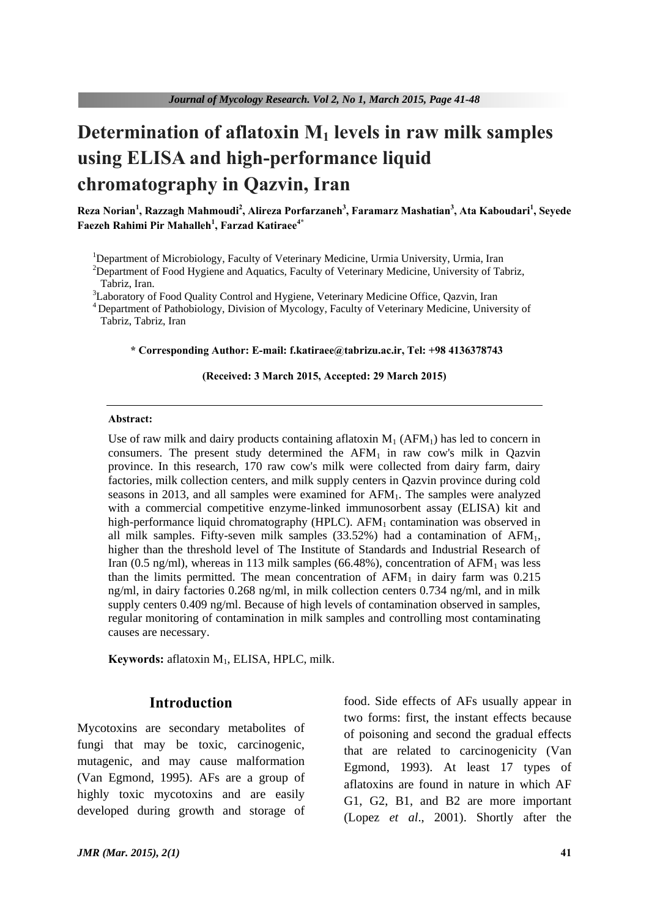# **Determination of aflatoxin M<sup>1</sup> levels in raw milk samples using ELISA and high-performance liquid chromatography in Qazvin, Iran**

**Reza Norian<sup>1</sup> , Razzagh Mahmoudi<sup>2</sup> , Alireza Porfarzaneh<sup>3</sup> , Faramarz Mashatian<sup>3</sup> , Ata Kaboudari<sup>1</sup> , Seyede Faezeh Rahimi Pir Mahalleh<sup>1</sup> , Farzad Katiraee4\***

<sup>1</sup>Department of Microbiology, Faculty of Veterinary Medicine, Urmia University, Urmia, Iran

<sup>2</sup>Department of Food Hygiene and Aquatics, Faculty of Veterinary Medicine, University of Tabriz, Tabriz, Iran.

<sup>3</sup>Laboratory of Food Quality Control and Hygiene, Veterinary Medicine Office, Qazvin, Iran

<sup>4</sup> Department of Pathobiology, Division of Mycology, Faculty of Veterinary Medicine, University of Tabriz, Tabriz, Iran

#### **\* Corresponding Author: E-mail: f.katiraee@tabrizu.ac.ir, Tel: +98 4136378743**

#### **(Received: 3 March 2015, Accepted: 29 March 2015)**

#### **Abstract:**

Use of raw milk and dairy products containing aflatoxin  $M_1$  (AFM<sub>1</sub>) has led to concern in consumers. The present study determined the  $AFM<sub>1</sub>$  in raw cow's milk in Oazvin province. In this research, 170 raw cow's milk were collected from dairy farm, dairy factories, milk collection centers, and milk supply centers in Qazvin province during cold seasons in 2013, and all samples were examined for  $AFM<sub>1</sub>$ . The samples were analyzed with a commercial competitive enzyme-linked immunosorbent assay (ELISA) kit and high-performance liquid chromatography (HPLC).  $AFM<sub>1</sub>$  contamination was observed in all milk samples. Fifty-seven milk samples  $(33.52%)$  had a contamination of  $AFM<sub>1</sub>$ , higher than the threshold level of The Institute of Standards and Industrial Research of Iran (0.5 ng/ml), whereas in 113 milk samples (66.48%), concentration of  $AFM<sub>1</sub>$  was less than the limits permitted. The mean concentration of  $AFM<sub>1</sub>$  in dairy farm was 0.215 ng/ml, in dairy factories 0.268 ng/ml, in milk collection centers 0.734 ng/ml, and in milk supply centers 0.409 ng/ml. Because of high levels of contamination observed in samples, regular monitoring of contamination in milk samples and controlling most contaminating causes are necessary.

**Keywords:** aflatoxin M1, ELISA, HPLC, milk.

### **Introduction**

Mycotoxins are secondary metabolites of fungi that may be toxic, carcinogenic, mutagenic, and may cause malformation (Van Egmond, 1995). AFs are a group of highly toxic mycotoxins and are easily developed during growth and storage of food. Side effects of AFs usually appear in two forms: first, the instant effects because of poisoning and second the gradual effects that are related to carcinogenicity (Van Egmond, 1993). At least 17 types of aflatoxins are found in nature in which AF G1, G2, B1, and B2 are more important (Lopez *et al*., 2001). Shortly after the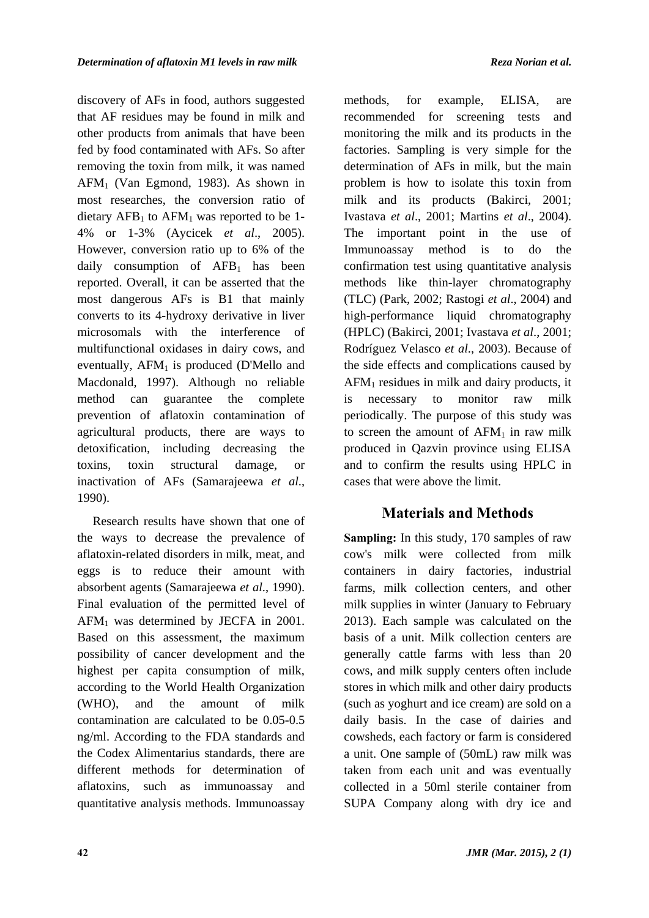discovery of AFs in food, authors suggested that AF residues may be found in milk and other products from animals that have been fed by food contaminated with AFs. So after removing the toxin from milk, it was named AFM1 (Van Egmond, 1983). As shown in most researches, the conversion ratio of dietary  $AFB_1$  to  $AFM_1$  was reported to be 1-4% or 1-3% (Aycicek *et al*., 2005). However, conversion ratio up to 6% of the daily consumption of  $AFB<sub>1</sub>$  has been reported. Overall, it can be asserted that the most dangerous AFs is B1 that mainly converts to its 4-hydroxy derivative in liver microsomals with the interference of multifunctional oxidases in dairy cows, and eventually,  $AFM<sub>1</sub>$  is produced (D'Mello and Macdonald, 1997). Although no reliable method can guarantee the complete prevention of aflatoxin contamination of agricultural products, there are ways to detoxification, including decreasing the toxins, toxin structural damage, or inactivation of AFs (Samarajeewa *et al*., 1990).

Research results have shown that one of the ways to decrease the prevalence of aflatoxin-related disorders in milk, meat, and eggs is to reduce their amount with absorbent agents (Samarajeewa *et al*., 1990). Final evaluation of the permitted level of AFM1 was determined by JECFA in 2001. Based on this assessment, the maximum possibility of cancer development and the highest per capita consumption of milk, according to the World Health Organization (WHO), and the amount of milk contamination are calculated to be 0.05-0.5 ng/ml. According to the FDA standards and the Codex Alimentarius standards, there are different methods for determination of aflatoxins, such as immunoassay and quantitative analysis methods. Immunoassay

methods, for example, ELISA, are recommended for screening tests and monitoring the milk and its products in the factories. Sampling is very simple for the determination of AFs in milk, but the main problem is how to isolate this toxin from milk and its products (Bakirci, 2001; Ivastava *et al*., 2001; Martins *et al*., 2004). The important point in the use of Immunoassay method is to do the confirmation test using quantitative analysis methods like thin-layer chromatography (TLC) (Park, 2002; Rastogi *et al*., 2004) and high-performance liquid chromatography (HPLC) (Bakirci, 2001; Ivastava *et al*., 2001; Rodríguez Velasco *et al*., 2003). Because of the side effects and complications caused by AFM1 residues in milk and dairy products, it is necessary to monitor raw milk periodically. The purpose of this study was to screen the amount of  $AFM<sub>1</sub>$  in raw milk produced in Qazvin province using ELISA and to confirm the results using HPLC in cases that were above the limit.

## **Materials and Methods**

**Sampling:** In this study, 170 samples of raw cow's milk were collected from milk containers in dairy factories, industrial farms, milk collection centers, and other milk supplies in winter (January to February 2013). Each sample was calculated on the basis of a unit. Milk collection centers are generally cattle farms with less than 20 cows, and milk supply centers often include stores in which milk and other dairy products (such as yoghurt and ice cream) are sold on a daily basis. In the case of dairies and cowsheds, each factory or farm is considered a unit. One sample of (50mL) raw milk was taken from each unit and was eventually collected in a 50ml sterile container from SUPA Company along with dry ice and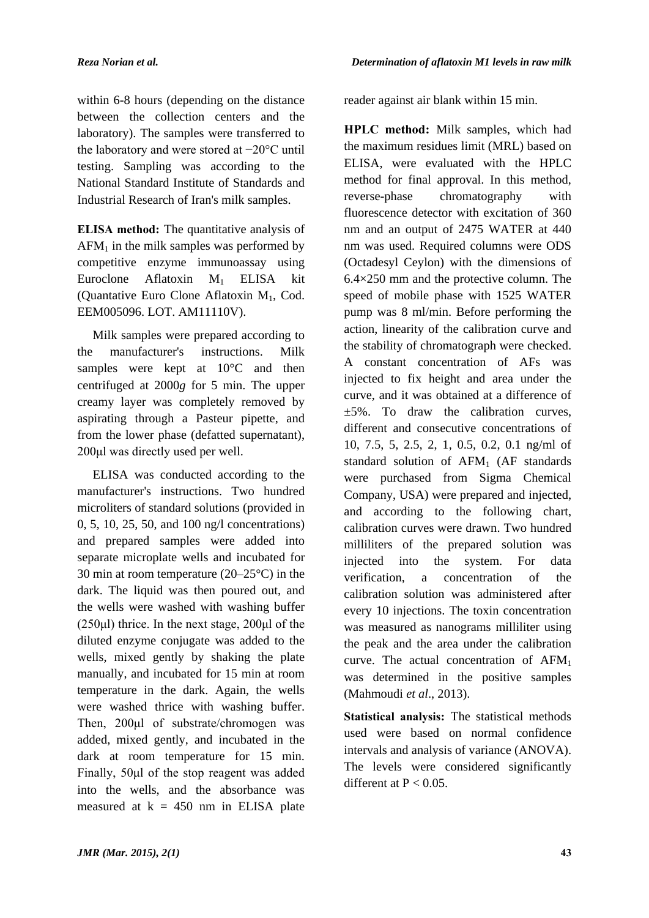within 6-8 hours (depending on the distance between the collection centers and the laboratory). The samples were transferred to the laboratory and were stored at −20°C until testing. Sampling was according to the National Standard Institute of Standards and Industrial Research of Iran's milk samples.

**ELISA method:** The quantitative analysis of  $AFM<sub>1</sub>$  in the milk samples was performed by competitive enzyme immunoassay using Euroclone Aflatoxin M1 ELISA kit (Quantative Euro Clone Aflatoxin M1, Cod. EEM005096. LOT. AM11110V).

Milk samples were prepared according to the manufacturer's instructions. Milk samples were kept at  $10^{\circ}$ C and then centrifuged at 2000*g* for 5 min. The upper creamy layer was completely removed by aspirating through a Pasteur pipette, and from the lower phase (defatted supernatant), 200μl was directly used per well.

ELISA was conducted according to the manufacturer's instructions. Two hundred microliters of standard solutions (provided in 0, 5, 10, 25, 50, and 100 ng/l concentrations) and prepared samples were added into separate microplate wells and incubated for 30 min at room temperature (20–25°C) in the dark. The liquid was then poured out, and the wells were washed with washing buffer  $(250\mu l)$  thrice. In the next stage,  $200\mu l$  of the diluted enzyme conjugate was added to the wells, mixed gently by shaking the plate manually, and incubated for 15 min at room temperature in the dark. Again, the wells were washed thrice with washing buffer. Then, 200µl of substrate/chromogen was added, mixed gently, and incubated in the dark at room temperature for 15 min. Finally, 50μl of the stop reagent was added into the wells, and the absorbance was measured at  $k = 450$  nm in ELISA plate

reader against air blank within 15 min.

**HPLC method:** Milk samples, which had the maximum residues limit (MRL) based on ELISA, were evaluated with the HPLC method for final approval. In this method, reverse-phase chromatography with fluorescence detector with excitation of 360 nm and an output of 2475 WATER at 440 nm was used. Required columns were ODS (Octadesyl Ceylon) with the dimensions of 6.4×250 mm and the protective column. The speed of mobile phase with 1525 WATER pump was 8 ml/min. Before performing the action, linearity of the calibration curve and the stability of chromatograph were checked. A constant concentration of AFs was injected to fix height and area under the curve, and it was obtained at a difference of  $\pm 5\%$ . To draw the calibration curves, different and consecutive concentrations of 10, 7.5, 5, 2.5, 2, 1, 0.5, 0.2, 0.1 ng/ml of standard solution of  $AFM<sub>1</sub>$  (AF standards were purchased from Sigma Chemical Company, USA) were prepared and injected, and according to the following chart, calibration curves were drawn. Two hundred milliliters of the prepared solution was injected into the system. For data verification, a concentration of the calibration solution was administered after every 10 injections. The toxin concentration was measured as nanograms milliliter using the peak and the area under the calibration curve. The actual concentration of  $AFM<sub>1</sub>$ was determined in the positive samples (Mahmoudi *et al*., 2013).

**Statistical analysis:** The statistical methods used were based on normal confidence intervals and analysis of variance (ANOVA). The levels were considered significantly different at  $P < 0.05$ .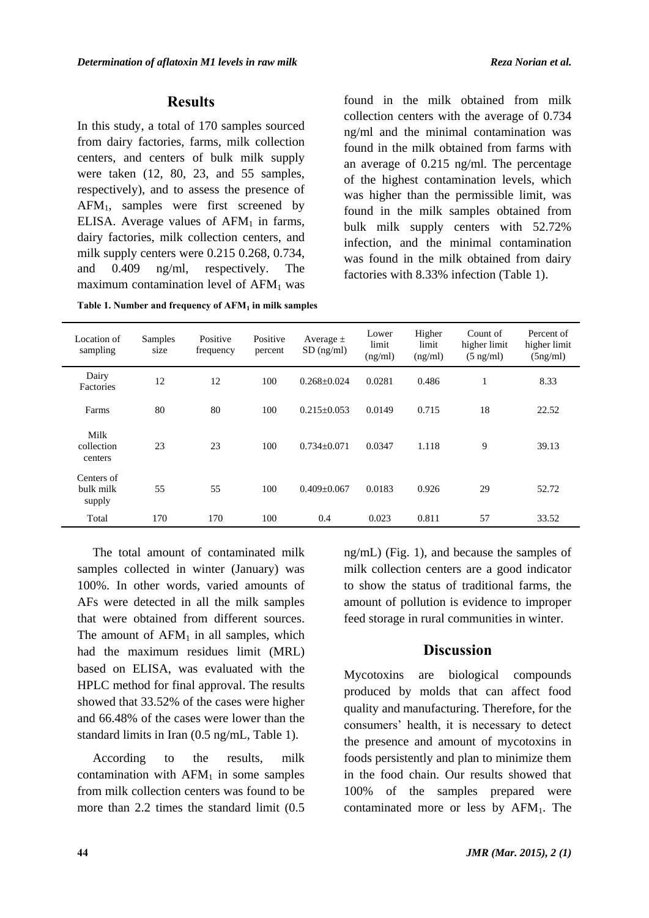#### **Results**

In this study, a total of 170 samples sourced from dairy factories, farms, milk collection centers, and centers of bulk milk supply were taken (12, 80, 23, and 55 samples, respectively), and to assess the presence of  $AFM<sub>1</sub>$ , samples were first screened by ELISA. Average values of  $AFM<sub>1</sub>$  in farms, dairy factories, milk collection centers, and milk supply centers were 0.215 0.268, 0.734, and 0.409 ng/ml, respectively. The maximum contamination level of  $AFM<sub>1</sub>$  was

**Table 1. Number and frequency of AFM1 in milk samples** 

found in the milk obtained from milk collection centers with the average of 0.734 ng/ml and the minimal contamination was found in the milk obtained from farms with an average of 0.215 ng/ml. The percentage of the highest contamination levels, which was higher than the permissible limit, was found in the milk samples obtained from bulk milk supply centers with 52.72% infection, and the minimal contamination was found in the milk obtained from dairy factories with 8.33% infection (Table 1).

| Location of<br>sampling           | Samples<br>size | Positive<br>frequency | Positive<br>percent | Average $\pm$<br>$SD$ (ng/ml) | Lower<br>limit<br>(ng/ml) | Higher<br>limit<br>(ng/ml) | Count of<br>higher limit<br>$(5 \text{ ng/ml})$ | Percent of<br>higher limit<br>(5ng/ml) |
|-----------------------------------|-----------------|-----------------------|---------------------|-------------------------------|---------------------------|----------------------------|-------------------------------------------------|----------------------------------------|
| Dairy<br>Factories                | 12              | 12                    | 100                 | $0.268 + 0.024$               | 0.0281                    | 0.486                      |                                                 | 8.33                                   |
| Farms                             | 80              | 80                    | 100                 | $0.215 + 0.053$               | 0.0149                    | 0.715                      | 18                                              | 22.52                                  |
| Milk<br>collection<br>centers     | 23              | 23                    | 100                 | $0.734 + 0.071$               | 0.0347                    | 1.118                      | 9                                               | 39.13                                  |
| Centers of<br>bulk milk<br>supply | 55              | 55                    | 100                 | $0.409 + 0.067$               | 0.0183                    | 0.926                      | 29                                              | 52.72                                  |
| Total                             | 170             | 170                   | 100                 | 0.4                           | 0.023                     | 0.811                      | 57                                              | 33.52                                  |

The total amount of contaminated milk samples collected in winter (January) was 100%. In other words, varied amounts of AFs were detected in all the milk samples that were obtained from different sources. The amount of  $AFM<sub>1</sub>$  in all samples, which had the maximum residues limit (MRL) based on ELISA, was evaluated with the HPLC method for final approval. The results showed that 33.52% of the cases were higher and 66.48% of the cases were lower than the standard limits in Iran (0.5 ng/mL, Table 1).

According to the results, milk contamination with  $AFM<sub>1</sub>$  in some samples from milk collection centers was found to be more than 2.2 times the standard limit (0.5 ng/mL) (Fig. 1), and because the samples of milk collection centers are a good indicator to show the status of traditional farms, the amount of pollution is evidence to improper feed storage in rural communities in winter.

## **Discussion**

Mycotoxins are biological compounds produced by molds that can affect food quality and manufacturing. Therefore, for the consumers' health, it is necessary to detect the presence and amount of mycotoxins in foods persistently and plan to minimize them in the food chain. Our results showed that 100% of the samples prepared were contaminated more or less by AFM<sub>1</sub>. The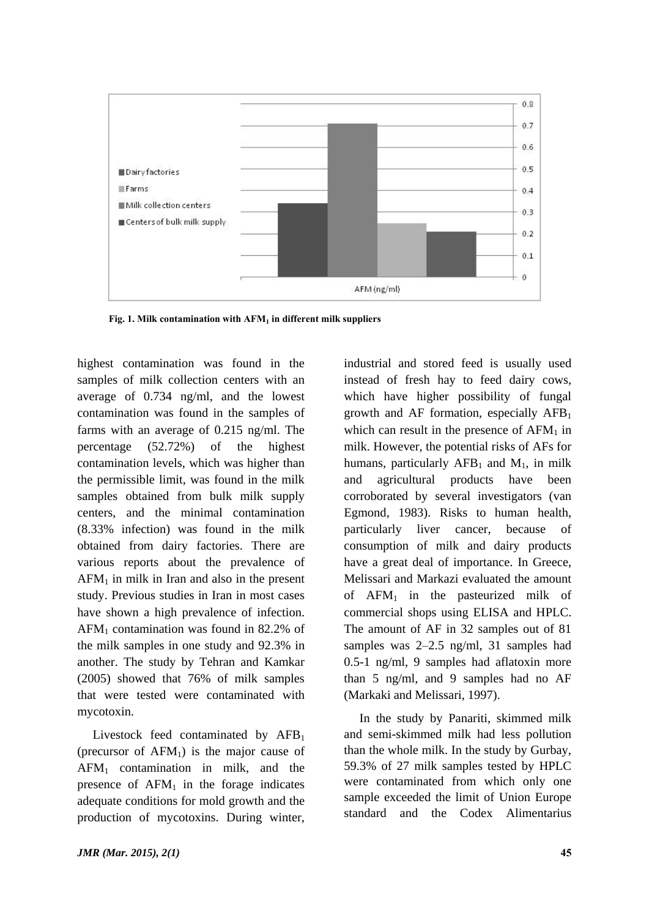

 **Fig. 1. Milk contamination with AFM1 in different milk suppliers**

highest contamination was found in the samples of milk collection centers with an average of 0.734 ng/ml, and the lowest contamination was found in the samples of farms with an average of 0.215 ng/ml. The percentage (52.72%) of the highest contamination levels, which was higher than the permissible limit, was found in the milk samples obtained from bulk milk supply centers, and the minimal contamination (8.33% infection) was found in the milk obtained from dairy factories. There are various reports about the prevalence of  $AFM<sub>1</sub>$  in milk in Iran and also in the present study. Previous studies in Iran in most cases have shown a high prevalence of infection. AFM1 contamination was found in 82.2% of the milk samples in one study and 92.3% in another. The study by Tehran and Kamkar (2005) showed that 76% of milk samples that were tested were contaminated with mycotoxin.

Livestock feed contaminated by  $AFB<sub>1</sub>$ (precursor of  $AFM<sub>1</sub>$ ) is the major cause of AFM1 contamination in milk, and the presence of  $AFM<sub>1</sub>$  in the forage indicates adequate conditions for mold growth and the production of mycotoxins. During winter, industrial and stored feed is usually used instead of fresh hay to feed dairy cows, which have higher possibility of fungal growth and AF formation, especially  $AFB<sub>1</sub>$ which can result in the presence of  $AFM<sub>1</sub>$  in milk. However, the potential risks of AFs for humans, particularly  $AFB_1$  and  $M_1$ , in milk and agricultural products have been corroborated by several investigators (van Egmond, 1983). Risks to human health, particularly liver cancer, because of consumption of milk and dairy products have a great deal of importance. In Greece, Melissari and Markazi evaluated the amount of AFM1 in the pasteurized milk of commercial shops using ELISA and HPLC. The amount of AF in 32 samples out of 81 samples was 2–2.5 ng/ml, 31 samples had 0.5-1 ng/ml, 9 samples had aflatoxin more than 5 ng/ml, and 9 samples had no AF (Markaki and Melissari, 1997).

In the study by Panariti, skimmed milk and semi-skimmed milk had less pollution than the whole milk. In the study by Gurbay, 59.3% of 27 milk samples tested by HPLC were contaminated from which only one sample exceeded the limit of Union Europe standard and the Codex Alimentarius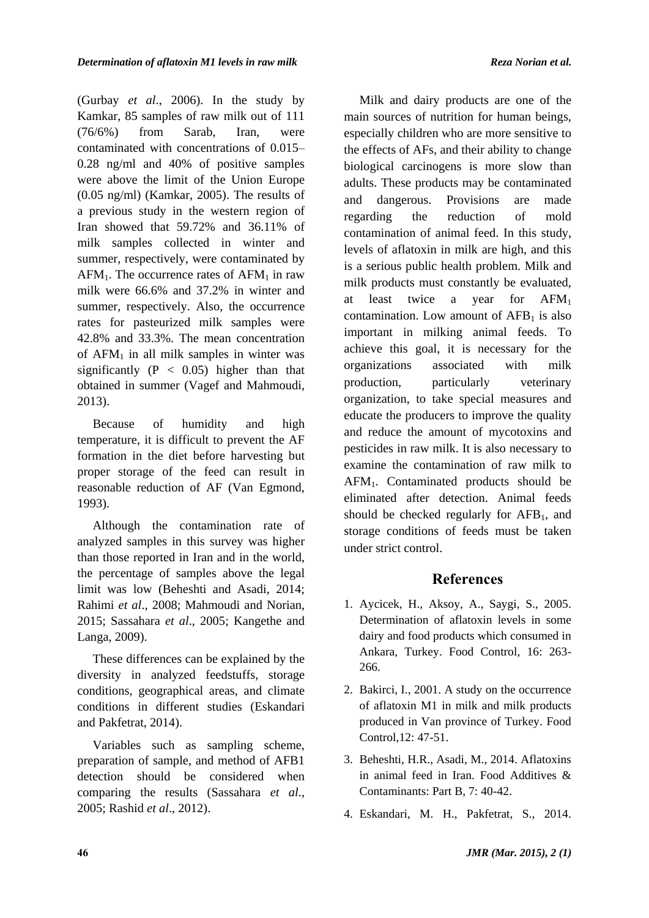(Gurbay *et al*., 2006). In the study by Kamkar, 85 samples of raw milk out of 111 (76/6%) from Sarab, Iran, were contaminated with concentrations of 0.015– 0.28 ng/ml and 40% of positive samples were above the limit of the Union Europe (0.05 ng/ml) (Kamkar, 2005). The results of a previous study in the western region of Iran showed that 59.72% and 36.11% of milk samples collected in winter and summer, respectively, were contaminated by  $AFM<sub>1</sub>$ . The occurrence rates of  $AFM<sub>1</sub>$  in raw milk were 66.6% and 37.2% in winter and summer, respectively. Also, the occurrence rates for pasteurized milk samples were 42.8% and 33.3%. The mean concentration of  $AFM<sub>1</sub>$  in all milk samples in winter was significantly  $(P < 0.05)$  higher than that obtained in summer (Vagef and Mahmoudi, 2013).

Because of humidity and high temperature, it is difficult to prevent the AF formation in the diet before harvesting but proper storage of the feed can result in reasonable reduction of AF (Van Egmond, 1993).

Although the contamination rate of analyzed samples in this survey was higher than those reported in Iran and in the world, the percentage of samples above the legal limit was low (Beheshti and Asadi, 2014; Rahimi *et al*., 2008; Mahmoudi and Norian, 2015; Sassahara *et al*., 2005; Kangethe and Langa, 2009).

These differences can be explained by the diversity in analyzed feedstuffs, storage conditions, geographical areas, and climate conditions in different studies (Eskandari and Pakfetrat, 2014).

Variables such as sampling scheme, preparation of sample, and method of AFB1 detection should be considered when comparing the results (Sassahara *et al*., 2005; Rashid *et al*., 2012).

Milk and dairy products are one of the main sources of nutrition for human beings, especially children who are more sensitive to the effects of AFs, and their ability to change biological carcinogens is more slow than adults. These products may be contaminated and dangerous. Provisions are made regarding the reduction of mold contamination of animal feed. In this study, levels of aflatoxin in milk are high, and this is a serious public health problem. Milk and milk products must constantly be evaluated, at least twice a year for AFM<sup>1</sup> contamination. Low amount of  $AFB<sub>1</sub>$  is also important in milking animal feeds. To achieve this goal, it is necessary for the organizations associated with milk production, particularly veterinary organization, to take special measures and educate the producers to improve the quality and reduce the amount of mycotoxins and pesticides in raw milk. It is also necessary to examine the contamination of raw milk to AFM1. Contaminated products should be eliminated after detection. Animal feeds should be checked regularly for  $AFB<sub>1</sub>$ , and storage conditions of feeds must be taken under strict control.

## **References**

- 1. Aycicek, H., Aksoy, A., Saygi, S., 2005. Determination of aflatoxin levels in some dairy and food products which consumed in Ankara, Turkey. Food Control, 16: 263- 266.
- 2. Bakirci, I., 2001. A study on the occurrence of aflatoxin M1 in milk and milk products produced in Van province of Turkey. Food Control,12: 47-51.
- 3. Beheshti, H.R., Asadi, M., 2014. Aflatoxins in animal feed in Iran. Food Additives & Contaminants: Part B, 7: 40-42.
- 4. Eskandari, M. H., Pakfetrat, S., 2014.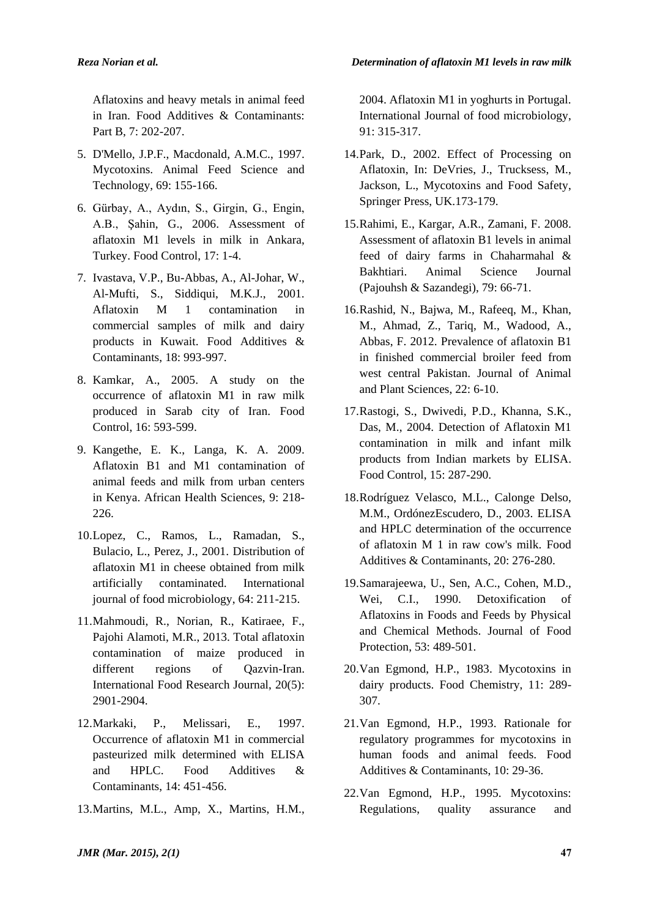Aflatoxins and heavy metals in animal feed in Iran. Food Additives & Contaminants: Part B, 7: 202-207.

- 5. D'Mello, J.P.F., Macdonald, A.M.C., 1997. Mycotoxins. Animal Feed Science and Technology, 69: 155-166.
- 6. Gürbay, A., Aydın, S., Girgin, G., Engin, A.B., Şahin, G., 2006. Assessment of aflatoxin M1 levels in milk in Ankara, Turkey. Food Control, 17: 1-4.
- 7. Ivastava, V.P., Bu-Abbas, A., Al-Johar, W., Al-Mufti, S., Siddiqui, M.K.J., 2001. Aflatoxin M 1 contamination in commercial samples of milk and dairy products in Kuwait. Food Additives & Contaminants, 18: 993-997.
- 8. Kamkar, A., 2005. A study on the occurrence of aflatoxin M1 in raw milk produced in Sarab city of Iran. Food Control, 16: 593-599.
- 9. Kangethe, E. K., Langa, K. A. 2009. Aflatoxin B1 and M1 contamination of animal feeds and milk from urban centers in Kenya. African Health Sciences, 9: 218- 226.
- 10.Lopez, C., Ramos, L., Ramadan, S., Bulacio, L., Perez, J., 2001. Distribution of aflatoxin M1 in cheese obtained from milk artificially contaminated. International journal of food microbiology, 64: 211-215.
- 11.Mahmoudi, R., Norian, R., Katiraee, F., Pajohi Alamoti, M.R., 2013. Total aflatoxin contamination of maize produced in different regions of Qazvin-Iran. International Food Research Journal, 20(5): 2901-2904.
- 12.Markaki, P., Melissari, E., 1997. Occurrence of aflatoxin M1 in commercial pasteurized milk determined with ELISA and HPLC. Food Additives & Contaminants, 14: 451-456.
- 13.Martins, M.L., Amp, X., Martins, H.M.,

2004. Aflatoxin M1 in yoghurts in Portugal. International Journal of food microbiology, 91: 315-317.

- 14.Park, D., 2002. Effect of Processing on Aflatoxin, In: DeVries, J., Trucksess, M., Jackson, L., Mycotoxins and Food Safety, Springer Press, UK.173-179.
- 15.Rahimi, E., Kargar, A.R., Zamani, F. 2008. Assessment of aflatoxin B1 levels in animal feed of dairy farms in Chaharmahal & Bakhtiari. Animal Science Journal (Pajouhsh & Sazandegi), 79: 66-71.
- 16.Rashid, N., Bajwa, M., Rafeeq, M., Khan, M., Ahmad, Z., Tariq, M., Wadood, A., Abbas, F. 2012. Prevalence of aflatoxin B1 in finished commercial broiler feed from west central Pakistan. Journal of Animal and Plant Sciences, 22: 6-10.
- 17.Rastogi, S., Dwivedi, P.D., Khanna, S.K., Das, M., 2004. Detection of Aflatoxin M1 contamination in milk and infant milk products from Indian markets by ELISA. Food Control, 15: 287-290.
- 18.Rodríguez Velasco, M.L., Calonge Delso, M.M., OrdónezEscudero, D., 2003. ELISA and HPLC determination of the occurrence of aflatoxin M 1 in raw cow's milk. Food Additives & Contaminants, 20: 276-280.
- 19.Samarajeewa, U., Sen, A.C., Cohen, M.D., Wei, C.I., 1990. Detoxification Aflatoxins in Foods and Feeds by Physical and Chemical Methods. Journal of Food Protection, 53: 489-501.
- 20.Van Egmond, H.P., 1983. Mycotoxins in dairy products. Food Chemistry, 11: 289- 307.
- 21.Van Egmond, H.P., 1993. Rationale for regulatory programmes for mycotoxins in human foods and animal feeds. Food Additives & Contaminants, 10: 29-36.
- 22.Van Egmond, H.P., 1995. Mycotoxins: Regulations, quality assurance and